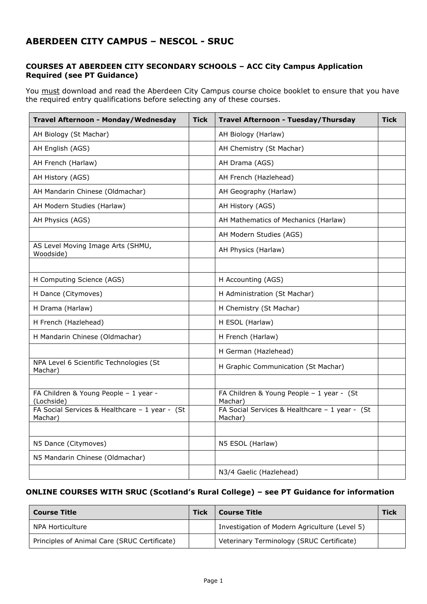## **ABERDEEN CITY CAMPUS – NESCOL - SRUC**

## **COURSES AT ABERDEEN CITY SECONDARY SCHOOLS – ACC City Campus Application Required (see PT Guidance)**

You must download and read the Aberdeen City Campus course choice booklet to ensure that you have the required entry qualifications before selecting any of these courses.

| Travel Afternoon - Monday/Wednesday                       | <b>Tick</b> | Travel Afternoon - Tuesday/Thursday                       | <b>Tick</b> |
|-----------------------------------------------------------|-------------|-----------------------------------------------------------|-------------|
| AH Biology (St Machar)                                    |             | AH Biology (Harlaw)                                       |             |
| AH English (AGS)                                          |             | AH Chemistry (St Machar)                                  |             |
| AH French (Harlaw)                                        |             | AH Drama (AGS)                                            |             |
| AH History (AGS)                                          |             | AH French (Hazlehead)                                     |             |
| AH Mandarin Chinese (Oldmachar)                           |             | AH Geography (Harlaw)                                     |             |
| AH Modern Studies (Harlaw)                                |             | AH History (AGS)                                          |             |
| AH Physics (AGS)                                          |             | AH Mathematics of Mechanics (Harlaw)                      |             |
|                                                           |             | AH Modern Studies (AGS)                                   |             |
| AS Level Moving Image Arts (SHMU,<br>Woodside)            |             | AH Physics (Harlaw)                                       |             |
|                                                           |             |                                                           |             |
| H Computing Science (AGS)                                 |             | H Accounting (AGS)                                        |             |
| H Dance (Citymoves)                                       |             | H Administration (St Machar)                              |             |
| H Drama (Harlaw)                                          |             | H Chemistry (St Machar)                                   |             |
| H French (Hazlehead)                                      |             | H ESOL (Harlaw)                                           |             |
| H Mandarin Chinese (Oldmachar)                            |             | H French (Harlaw)                                         |             |
|                                                           |             | H German (Hazlehead)                                      |             |
| NPA Level 6 Scientific Technologies (St<br>Machar)        |             | H Graphic Communication (St Machar)                       |             |
|                                                           |             |                                                           |             |
| FA Children & Young People - 1 year -<br>(Lochside)       |             | FA Children & Young People - 1 year - (St<br>Machar)      |             |
| FA Social Services & Healthcare - 1 year - (St<br>Machar) |             | FA Social Services & Healthcare - 1 year - (St<br>Machar) |             |
|                                                           |             |                                                           |             |
| N5 Dance (Citymoves)                                      |             | N5 ESOL (Harlaw)                                          |             |
| N5 Mandarin Chinese (Oldmachar)                           |             |                                                           |             |
|                                                           |             | N3/4 Gaelic (Hazlehead)                                   |             |

## **ONLINE COURSES WITH SRUC (Scotland's Rural College) – see PT Guidance for information**

| <b>Course Title</b>                          | <b>Tick</b> | <b>Course Title</b>                           | <b>Tick</b> |
|----------------------------------------------|-------------|-----------------------------------------------|-------------|
| NPA Horticulture                             |             | Investigation of Modern Agriculture (Level 5) |             |
| Principles of Animal Care (SRUC Certificate) |             | Veterinary Terminology (SRUC Certificate)     |             |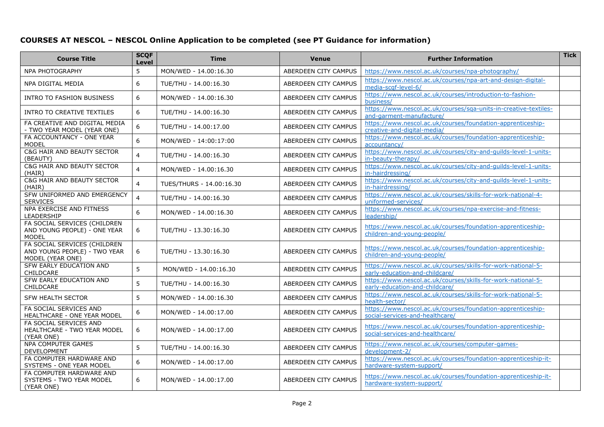## **COURSES AT NESCOL – NESCOL Online Application to be completed (see PT Guidance for information)**

| <b>Course Title</b>                                                              | <b>SCQF</b><br>Level | <b>Time</b>              | <b>Venue</b>                | <b>Further Information</b>                                                                     | <b>Tick</b> |
|----------------------------------------------------------------------------------|----------------------|--------------------------|-----------------------------|------------------------------------------------------------------------------------------------|-------------|
| <b>NPA PHOTOGRAPHY</b>                                                           | 5                    | MON/WED - 14.00:16.30    | ABERDEEN CITY CAMPUS        | https://www.nescol.ac.uk/courses/npa-photography/                                              |             |
| NPA DIGITAL MEDIA                                                                | 6                    | TUE/THU - 14.00:16.30    | ABERDEEN CITY CAMPUS        | https://www.nescol.ac.uk/courses/npa-art-and-design-digital-<br>media-scgf-level-6/            |             |
| INTRO TO FASHION BUSINESS                                                        | 6                    | MON/WED - 14.00:16.30    | <b>ABERDEEN CITY CAMPUS</b> | https://www.nescol.ac.uk/courses/introduction-to-fashion-<br>business/                         |             |
| INTRO TO CREATIVE TEXTILES                                                       | 6                    | TUE/THU - 14.00:16.30    | ABERDEEN CITY CAMPUS        | https://www.nescol.ac.uk/courses/sqa-units-in-creative-textiles-<br>and-garment-manufacture/   |             |
| FA CREATIVE AND DIGITAL MEDIA<br>- TWO YEAR MODEL (YEAR ONE)                     | 6                    | TUE/THU - 14.00:17.00    | ABERDEEN CITY CAMPUS        | https://www.nescol.ac.uk/courses/foundation-apprenticeship-<br>creative-and-digital-media/     |             |
| FA ACCOUNTANCY - ONE YEAR<br><b>MODEL</b>                                        | 6                    | MON/WED - 14:00:17:00    | <b>ABERDEEN CITY CAMPUS</b> | https://www.nescol.ac.uk/courses/foundation-apprenticeship-<br>accountancy/                    |             |
| C&G HAIR AND BEAUTY SECTOR<br>(BEAUTY)                                           | $\overline{4}$       | TUE/THU - 14.00:16.30    | ABERDEEN CITY CAMPUS        | https://www.nescol.ac.uk/courses/city-and-quilds-level-1-units-<br>in-beauty-therapy/          |             |
| C&G HAIR AND BEAUTY SECTOR<br>(HAIR)                                             | $\overline{4}$       | MON/WED - 14.00:16.30    | ABERDEEN CITY CAMPUS        | https://www.nescol.ac.uk/courses/city-and-quilds-level-1-units-<br>in-hairdressing/            |             |
| C&G HAIR AND BEAUTY SECTOR<br>(HAIR)                                             | $\overline{4}$       | TUES/THURS - 14.00:16.30 | ABERDEEN CITY CAMPUS        | https://www.nescol.ac.uk/courses/city-and-guilds-level-1-units-<br>in-hairdressing/            |             |
| SFW UNIFORMED AND EMERGENCY<br><b>SERVICES</b>                                   | $\overline{4}$       | TUE/THU - 14.00:16.30    | ABERDEEN CITY CAMPUS        | https://www.nescol.ac.uk/courses/skills-for-work-national-4-<br>uniformed-services/            |             |
| NPA EXERCISE AND FITNESS<br>LEADERSHIP                                           | 6                    | MON/WED - 14.00:16.30    | <b>ABERDEEN CITY CAMPUS</b> | https://www.nescol.ac.uk/courses/npa-exercise-and-fitness-<br>leadership/                      |             |
| FA SOCIAL SERVICES (CHILDREN<br>AND YOUNG PEOPLE) - ONE YEAR<br>MODEL            | 6                    | TUE/THU - 13.30:16.30    | ABERDEEN CITY CAMPUS        | https://www.nescol.ac.uk/courses/foundation-apprenticeship-<br>children-and-young-people/      |             |
| FA SOCIAL SERVICES (CHILDREN<br>AND YOUNG PEOPLE) - TWO YEAR<br>MODEL (YEAR ONE) | 6                    | TUE/THU - 13.30:16.30    | ABERDEEN CITY CAMPUS        | https://www.nescol.ac.uk/courses/foundation-apprenticeship-<br>children-and-young-people/      |             |
| SFW EARLY EDUCATION AND<br><b>CHILDCARE</b>                                      | 5                    | MON/WED - 14.00:16.30    | ABERDEEN CITY CAMPUS        | https://www.nescol.ac.uk/courses/skills-for-work-national-5-<br>early-education-and-childcare/ |             |
| SFW EARLY EDUCATION AND<br>CHILDCARE                                             | 5 <sup>5</sup>       | TUE/THU - 14.00:16.30    | ABERDEEN CITY CAMPUS        | https://www.nescol.ac.uk/courses/skills-for-work-national-5-<br>early-education-and-childcare/ |             |
| <b>SFW HEALTH SECTOR</b>                                                         | 5                    | MON/WED - 14.00:16.30    | ABERDEEN CITY CAMPUS        | https://www.nescol.ac.uk/courses/skills-for-work-national-5-<br>health-sector/                 |             |
| FA SOCIAL SERVICES AND<br>HEALTHCARE - ONE YEAR MODEL                            | 6                    | MON/WED - 14.00:17.00    | ABERDEEN CITY CAMPUS        | https://www.nescol.ac.uk/courses/foundation-apprenticeship-<br>social-services-and-healthcare/ |             |
| FA SOCIAL SERVICES AND<br>HEALTHCARE - TWO YEAR MODEL<br>(YEAR ONE)              | 6                    | MON/WED - 14.00:17.00    | ABERDEEN CITY CAMPUS        | https://www.nescol.ac.uk/courses/foundation-apprenticeship-<br>social-services-and-healthcare/ |             |
| <b>NPA COMPUTER GAMES</b><br>DEVELOPMENT                                         | $\overline{5}$       | TUE/THU - 14.00:16.30    | ABERDEEN CITY CAMPUS        | https://www.nescol.ac.uk/courses/computer-games-<br>development-2/                             |             |
| FA COMPUTER HARDWARE AND<br>SYSTEMS - ONE YEAR MODEL                             | 6                    | MON/WED - 14.00:17.00    | ABERDEEN CITY CAMPUS        | https://www.nescol.ac.uk/courses/foundation-apprenticeship-it-<br>hardware-system-support/     |             |
| FA COMPUTER HARDWARE AND<br>SYSTEMS - TWO YEAR MODEL<br>(YEAR ONE)               | 6                    | MON/WED - 14.00:17.00    | ABERDEEN CITY CAMPUS        | https://www.nescol.ac.uk/courses/foundation-apprenticeship-it-<br>hardware-system-support/     |             |